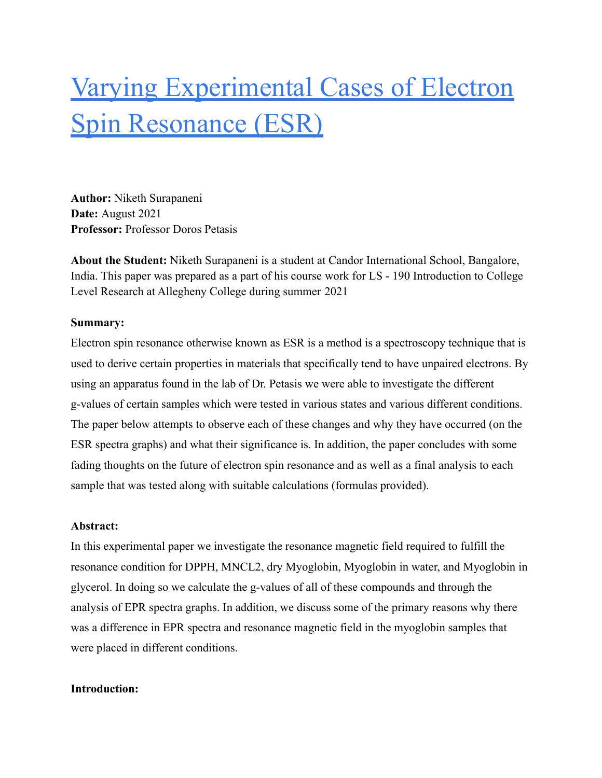# Varying Experimental Cases of Electron Spin Resonance (ESR)

**Author:** Niketh Surapaneni **Date:** August 2021 **Professor:** Professor Doros Petasis

**About the Student:** Niketh Surapaneni is a student at Candor International School, Bangalore, India. This paper was prepared as a part of his course work for LS - 190 Introduction to College Level Research at Allegheny College during summer 2021

# **Summary:**

Electron spin resonance otherwise known as ESR is a method is a spectroscopy technique that is used to derive certain properties in materials that specifically tend to have unpaired electrons. By using an apparatus found in the lab of Dr. Petasis we were able to investigate the different g-values of certain samples which were tested in various states and various different conditions. The paper below attempts to observe each of these changes and why they have occurred (on the ESR spectra graphs) and what their significance is. In addition, the paper concludes with some fading thoughts on the future of electron spin resonance and as well as a final analysis to each sample that was tested along with suitable calculations (formulas provided).

## **Abstract:**

In this experimental paper we investigate the resonance magnetic field required to fulfill the resonance condition for DPPH, MNCL2, dry Myoglobin, Myoglobin in water, and Myoglobin in glycerol. In doing so we calculate the g-values of all of these compounds and through the analysis of EPR spectra graphs. In addition, we discuss some of the primary reasons why there was a difference in EPR spectra and resonance magnetic field in the myoglobin samples that were placed in different conditions.

## **Introduction:**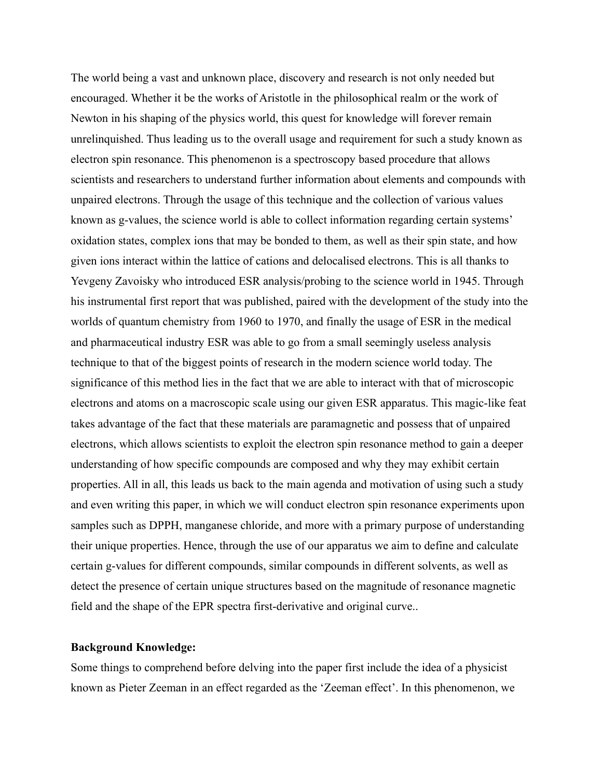The world being a vast and unknown place, discovery and research is not only needed but encouraged. Whether it be the works of Aristotle in the philosophical realm or the work of Newton in his shaping of the physics world, this quest for knowledge will forever remain unrelinquished. Thus leading us to the overall usage and requirement for such a study known as electron spin resonance. This phenomenon is a spectroscopy based procedure that allows scientists and researchers to understand further information about elements and compounds with unpaired electrons. Through the usage of this technique and the collection of various values known as g-values, the science world is able to collect information regarding certain systems' oxidation states, complex ions that may be bonded to them, as well as their spin state, and how given ions interact within the lattice of cations and delocalised electrons. This is all thanks to Yevgeny Zavoisky who introduced ESR analysis/probing to the science world in 1945. Through his instrumental first report that was published, paired with the development of the study into the worlds of quantum chemistry from 1960 to 1970, and finally the usage of ESR in the medical and pharmaceutical industry ESR was able to go from a small seemingly useless analysis technique to that of the biggest points of research in the modern science world today. The significance of this method lies in the fact that we are able to interact with that of microscopic electrons and atoms on a macroscopic scale using our given ESR apparatus. This magic-like feat takes advantage of the fact that these materials are paramagnetic and possess that of unpaired electrons, which allows scientists to exploit the electron spin resonance method to gain a deeper understanding of how specific compounds are composed and why they may exhibit certain properties. All in all, this leads us back to the main agenda and motivation of using such a study and even writing this paper, in which we will conduct electron spin resonance experiments upon samples such as DPPH, manganese chloride, and more with a primary purpose of understanding their unique properties. Hence, through the use of our apparatus we aim to define and calculate certain g-values for different compounds, similar compounds in different solvents, as well as detect the presence of certain unique structures based on the magnitude of resonance magnetic field and the shape of the EPR spectra first-derivative and original curve..

### **Background Knowledge:**

Some things to comprehend before delving into the paper first include the idea of a physicist known as Pieter Zeeman in an effect regarded as the 'Zeeman effect'. In this phenomenon, we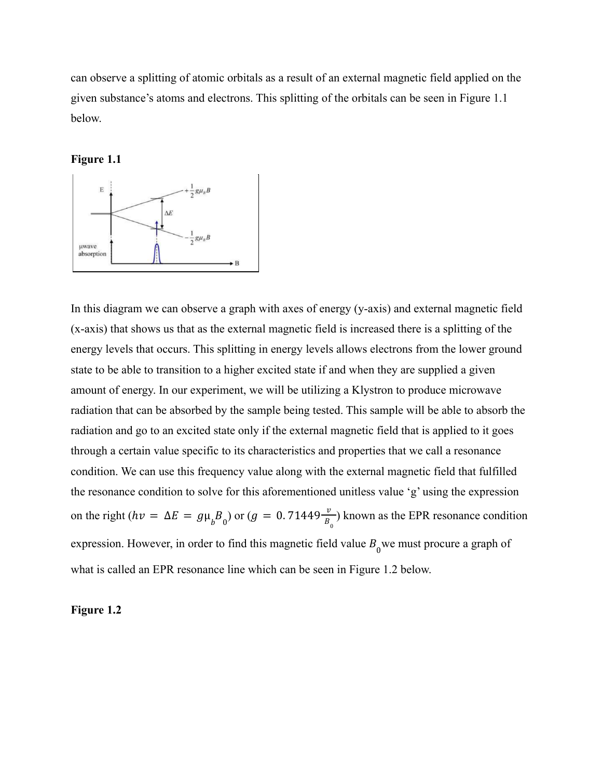can observe a splitting of atomic orbitals as a result of an external magnetic field applied on the given substance's atoms and electrons. This splitting of the orbitals can be seen in Figure 1.1 below.

#### **Figure 1.1**



In this diagram we can observe a graph with axes of energy (y-axis) and external magnetic field (x-axis) that shows us that as the external magnetic field is increased there is a splitting of the energy levels that occurs. This splitting in energy levels allows electrons from the lower ground state to be able to transition to a higher excited state if and when they are supplied a given amount of energy. In our experiment, we will be utilizing a Klystron to produce microwave radiation that can be absorbed by the sample being tested. This sample will be able to absorb the radiation and go to an excited state only if the external magnetic field that is applied to it goes through a certain value specific to its characteristics and properties that we call a resonance condition. We can use this frequency value along with the external magnetic field that fulfilled the resonance condition to solve for this aforementioned unitless value 'g' using the expression on the right ( $hv = \Delta E = g\mu_b B_0$ ) or ( $g = 0.71449 \frac{v}{B_0}$ ) known as the EPR resonance condition expression. However, in order to find this magnetic field value  $B_0$  we must procure a graph of what is called an EPR resonance line which can be seen in Figure 1.2 below.

## **Figure 1.2**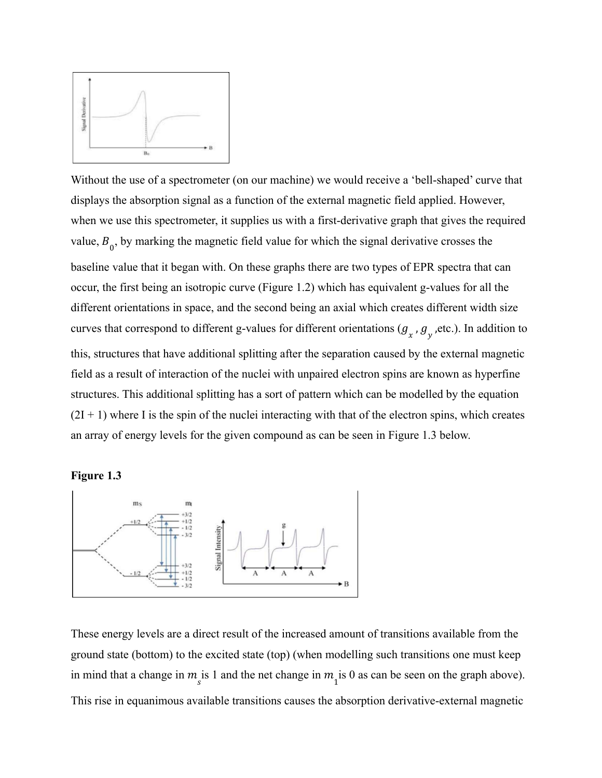

Without the use of a spectrometer (on our machine) we would receive a 'bell-shaped' curve that displays the absorption signal as a function of the external magnetic field applied. However, when we use this spectrometer, it supplies us with a first-derivative graph that gives the required value,  $B_0$ , by marking the magnetic field value for which the signal derivative crosses the baseline value that it began with. On these graphs there are two types of EPR spectra that can occur, the first being an isotropic curve (Figure 1.2) which has equivalent g-values for all the different orientations in space, and the second being an axial which creates different width size curves that correspond to different g-values for different orientations ( $g_x$ ,  $g_y$ , etc.). In addition to this, structures that have additional splitting after the separation caused by the external magnetic field as a result of interaction of the nuclei with unpaired electron spins are known as hyperfine structures. This additional splitting has a sort of pattern which can be modelled by the equation  $(2I + 1)$  where I is the spin of the nuclei interacting with that of the electron spins, which creates an array of energy levels for the given compound as can be seen in Figure 1.3 below.

# **Figure 1.3**



These energy levels are a direct result of the increased amount of transitions available from the ground state (bottom) to the excited state (top) (when modelling such transitions one must keep in mind that a change in  $m_s$  is 1 and the net change in  $m_1$  is 0 as can be seen on the graph above). This rise in equanimous available transitions causes the absorption derivative-external magnetic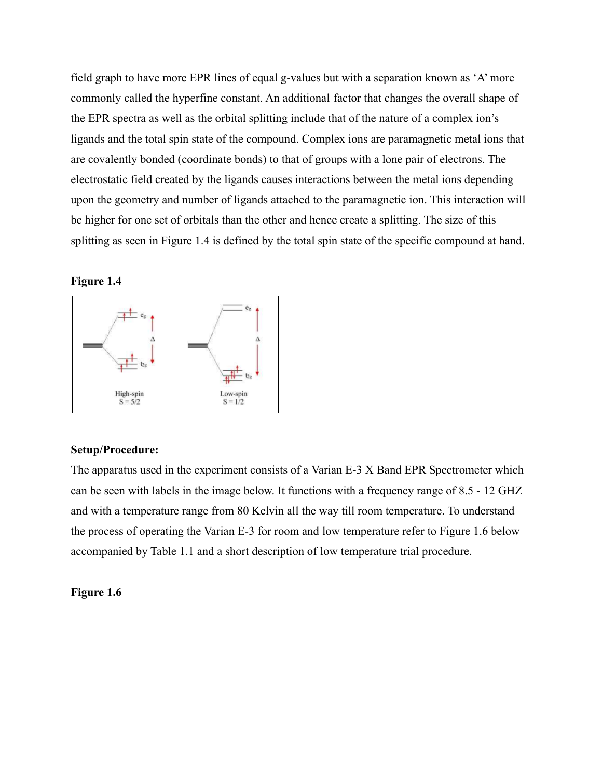field graph to have more EPR lines of equal g-values but with a separation known as 'A' more commonly called the hyperfine constant. An additional factor that changes the overall shape of the EPR spectra as well as the orbital splitting include that of the nature of a complex ion's ligands and the total spin state of the compound. Complex ions are paramagnetic metal ions that are covalently bonded (coordinate bonds) to that of groups with a lone pair of electrons. The electrostatic field created by the ligands causes interactions between the metal ions depending upon the geometry and number of ligands attached to the paramagnetic ion. This interaction will be higher for one set of orbitals than the other and hence create a splitting. The size of this splitting as seen in Figure 1.4 is defined by the total spin state of the specific compound at hand.

### **Figure 1.4**



#### **Setup/Procedure:**

The apparatus used in the experiment consists of a Varian E-3 X Band EPR Spectrometer which can be seen with labels in the image below. It functions with a frequency range of 8.5 - 12 GHZ and with a temperature range from 80 Kelvin all the way till room temperature. To understand the process of operating the Varian E-3 for room and low temperature refer to Figure 1.6 below accompanied by Table 1.1 and a short description of low temperature trial procedure.

#### **Figure 1.6**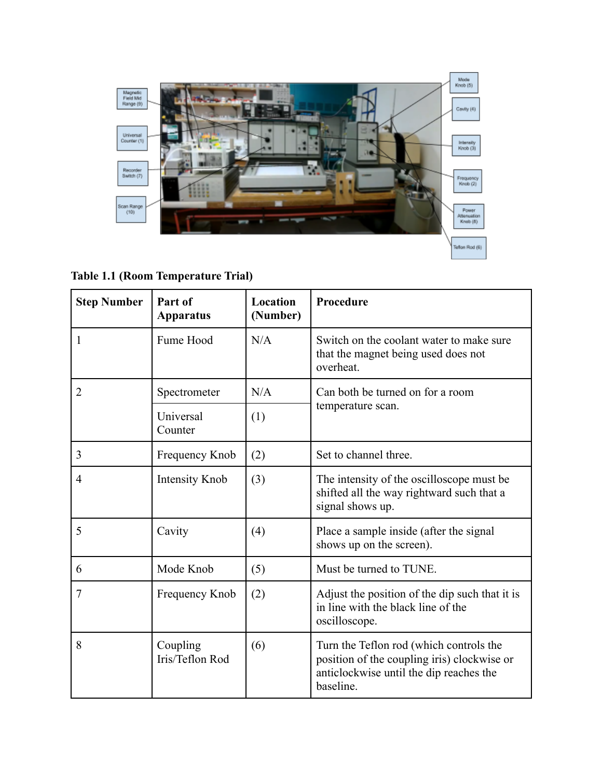

**Table 1.1 (Room Temperature Trial)**

| <b>Step Number</b> | Part of<br><b>Apparatus</b> | Location<br>(Number) | Procedure                                                                                                                                      |
|--------------------|-----------------------------|----------------------|------------------------------------------------------------------------------------------------------------------------------------------------|
|                    | Fume Hood                   | N/A                  | Switch on the coolant water to make sure<br>that the magnet being used does not<br>overheat.                                                   |
| $\overline{2}$     | Spectrometer                | N/A                  | Can both be turned on for a room                                                                                                               |
|                    | Universal<br>Counter        | (1)                  | temperature scan.                                                                                                                              |
| 3                  | Frequency Knob              | (2)                  | Set to channel three.                                                                                                                          |
| $\overline{4}$     | Intensity Knob              | (3)                  | The intensity of the oscilloscope must be.<br>shifted all the way rightward such that a<br>signal shows up.                                    |
| 5                  | Cavity                      | (4)                  | Place a sample inside (after the signal<br>shows up on the screen).                                                                            |
| 6                  | Mode Knob                   | (5)                  | Must be turned to TUNE.                                                                                                                        |
| $\overline{7}$     | Frequency Knob              | (2)                  | Adjust the position of the dip such that it is<br>in line with the black line of the<br>oscilloscope.                                          |
| 8                  | Coupling<br>Iris/Teflon Rod | (6)                  | Turn the Teflon rod (which controls the<br>position of the coupling iris) clockwise or<br>anticlockwise until the dip reaches the<br>baseline. |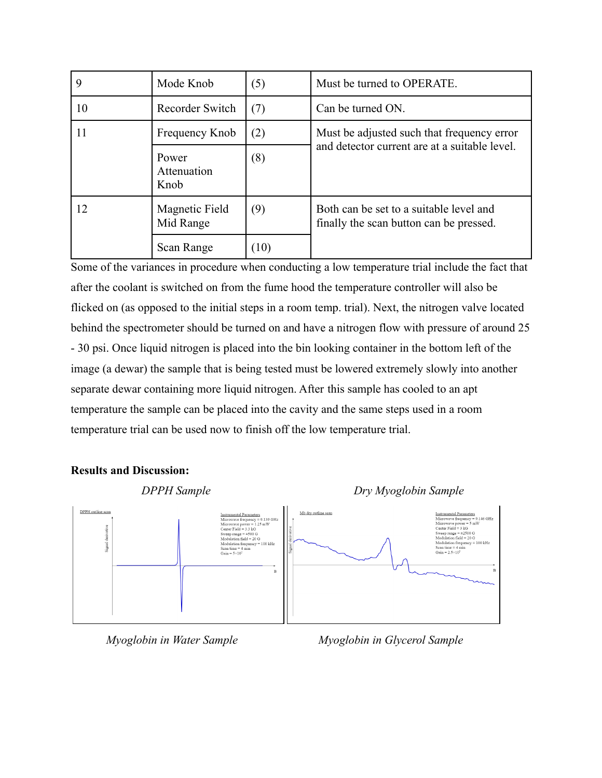| 9  | Mode Knob                    | (5)  | Must be turned to OPERATE.                                                         |
|----|------------------------------|------|------------------------------------------------------------------------------------|
| 10 | Recorder Switch<br>(7)       |      | Can be turned ON.                                                                  |
| 11 | Frequency Knob               | (2)  | Must be adjusted such that frequency error                                         |
|    | Power<br>Attenuation<br>Knob | (8)  | and detector current are at a suitable level.                                      |
| 12 | Magnetic Field<br>Mid Range  | (9)  | Both can be set to a suitable level and<br>finally the scan button can be pressed. |
|    | Scan Range                   | (10) |                                                                                    |

Some of the variances in procedure when conducting a low temperature trial include the fact that after the coolant is switched on from the fume hood the temperature controller will also be flicked on (as opposed to the initial steps in a room temp. trial). Next, the nitrogen valve located behind the spectrometer should be turned on and have a nitrogen flow with pressure of around 25 - 30 psi. Once liquid nitrogen is placed into the bin looking container in the bottom left of the image (a dewar) the sample that is being tested must be lowered extremely slowly into another separate dewar containing more liquid nitrogen. After this sample has cooled to an apt temperature the sample can be placed into the cavity and the same steps used in a room temperature trial can be used now to finish off the low temperature trial.

# **Results and Discussion:**



*Myoglobin in Water Sample Myoglobin in Glycerol Sample*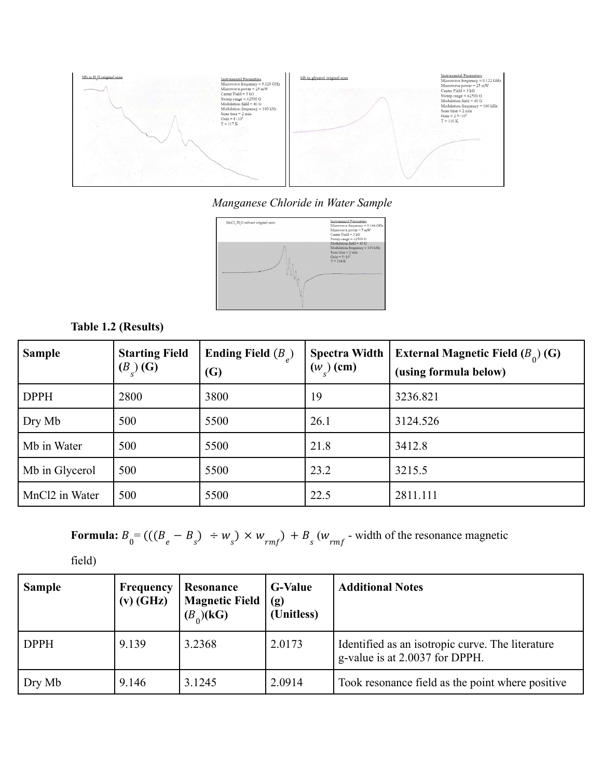

*Manganese Chloride in Water Sample*



# **Table 1.2 (Results)**

| <b>Sample</b>              | <b>Starting Field</b><br>$(B_{c})$ (G) | Ending Field $(B_2)$<br>(G) | <b>Spectra Width</b><br>$(w_{c})$ (cm) | <b>External Magnetic Field</b> $(B_0)$ (G)<br>(using formula below) |
|----------------------------|----------------------------------------|-----------------------------|----------------------------------------|---------------------------------------------------------------------|
| <b>DPPH</b>                | 2800                                   | 3800                        | 19                                     | 3236.821                                                            |
| Dry Mb                     | 500                                    | 5500                        | 26.1                                   | 3124.526                                                            |
| Mb in Water                | 500                                    | 5500                        | 21.8                                   | 3412.8                                                              |
| Mb in Glycerol             | 500                                    | 5500                        | 23.2                                   | 3215.5                                                              |
| MnCl <sub>2</sub> in Water | 500                                    | 5500                        | 22.5                                   | 2811.111                                                            |

**Formula:** 
$$
B_0 = ((B_e - B_s) \div w_s) \times w_{rmf} + B_s (w_{rmf} \cdot \text{width of the resonance magnetic})
$$

field)

| <b>Sample</b> | Frequency<br>$(v)$ (GHz) | Resonance<br><b>Magnetic Field</b><br>$(B_0)(kG)$ | <b>G-Value</b><br>(g)<br>(Unitless) | <b>Additional Notes</b>                                                            |
|---------------|--------------------------|---------------------------------------------------|-------------------------------------|------------------------------------------------------------------------------------|
| <b>DPPH</b>   | 9.139                    | 3.2368                                            | 2.0173                              | Identified as an isotropic curve. The literature<br>g-value is at 2.0037 for DPPH. |
| Dry Mb        | 9.146                    | 3.1245                                            | 2.0914                              | Took resonance field as the point where positive                                   |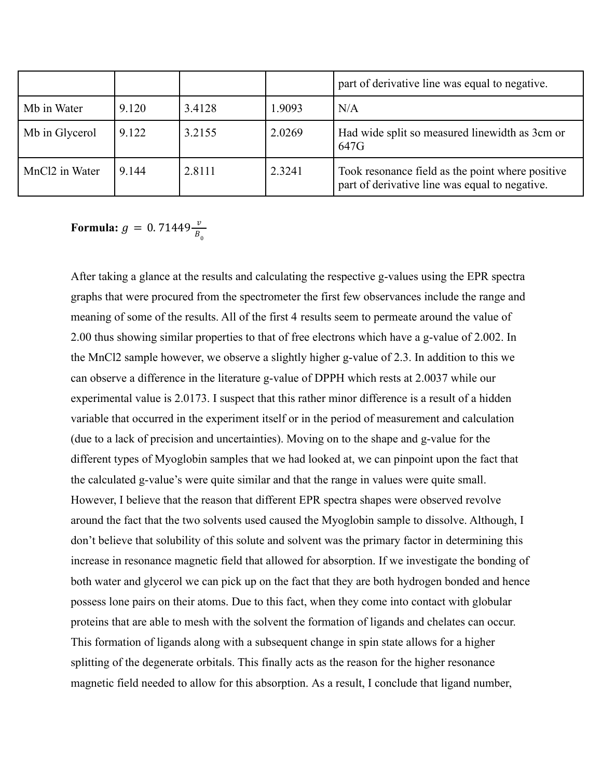|                            |       |        |        | part of derivative line was equal to negative.                                                     |
|----------------------------|-------|--------|--------|----------------------------------------------------------------------------------------------------|
| Mb in Water                | 9.120 | 3.4128 | 1.9093 | N/A                                                                                                |
| Mb in Glycerol             | 9.122 | 3.2155 | 2.0269 | Had wide split so measured linewidth as 3cm or<br>647G                                             |
| MnCl <sub>2</sub> in Water | 9.144 | 2.8111 | 2.3241 | Took resonance field as the point where positive<br>part of derivative line was equal to negative. |

**Formula:**  $g = 0.71449 \frac{v}{B_0}$ 

After taking a glance at the results and calculating the respective g-values using the EPR spectra graphs that were procured from the spectrometer the first few observances include the range and meaning of some of the results. All of the first 4 results seem to permeate around the value of 2.00 thus showing similar properties to that of free electrons which have a g-value of 2.002. In the MnCl2 sample however, we observe a slightly higher g-value of 2.3. In addition to this we can observe a difference in the literature g-value of DPPH which rests at 2.0037 while our experimental value is 2.0173. I suspect that this rather minor difference is a result of a hidden variable that occurred in the experiment itself or in the period of measurement and calculation (due to a lack of precision and uncertainties). Moving on to the shape and g-value for the different types of Myoglobin samples that we had looked at, we can pinpoint upon the fact that the calculated g-value's were quite similar and that the range in values were quite small. However, I believe that the reason that different EPR spectra shapes were observed revolve around the fact that the two solvents used caused the Myoglobin sample to dissolve. Although, I don't believe that solubility of this solute and solvent was the primary factor in determining this increase in resonance magnetic field that allowed for absorption. If we investigate the bonding of both water and glycerol we can pick up on the fact that they are both hydrogen bonded and hence possess lone pairs on their atoms. Due to this fact, when they come into contact with globular proteins that are able to mesh with the solvent the formation of ligands and chelates can occur. This formation of ligands along with a subsequent change in spin state allows for a higher splitting of the degenerate orbitals. This finally acts as the reason for the higher resonance magnetic field needed to allow for this absorption. As a result, I conclude that ligand number,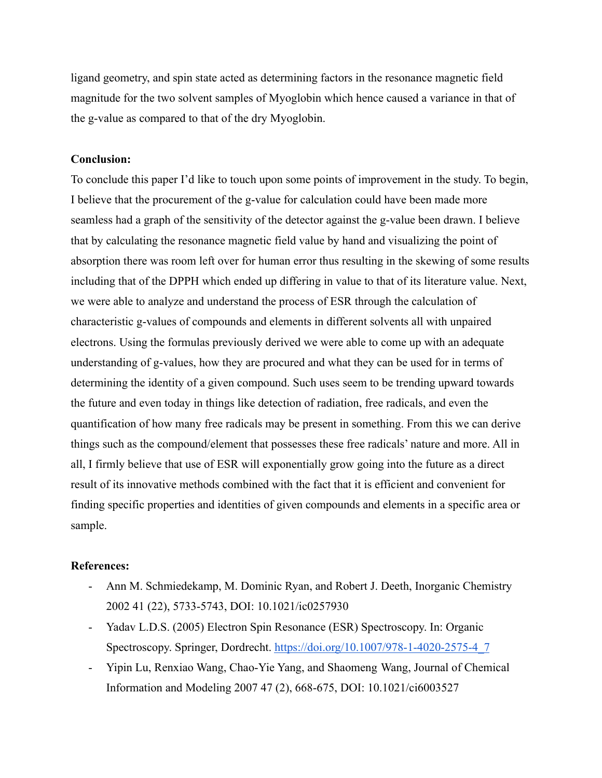ligand geometry, and spin state acted as determining factors in the resonance magnetic field magnitude for the two solvent samples of Myoglobin which hence caused a variance in that of the g-value as compared to that of the dry Myoglobin.

#### **Conclusion:**

To conclude this paper I'd like to touch upon some points of improvement in the study. To begin, I believe that the procurement of the g-value for calculation could have been made more seamless had a graph of the sensitivity of the detector against the g-value been drawn. I believe that by calculating the resonance magnetic field value by hand and visualizing the point of absorption there was room left over for human error thus resulting in the skewing of some results including that of the DPPH which ended up differing in value to that of its literature value. Next, we were able to analyze and understand the process of ESR through the calculation of characteristic g-values of compounds and elements in different solvents all with unpaired electrons. Using the formulas previously derived we were able to come up with an adequate understanding of g-values, how they are procured and what they can be used for in terms of determining the identity of a given compound. Such uses seem to be trending upward towards the future and even today in things like detection of radiation, free radicals, and even the quantification of how many free radicals may be present in something. From this we can derive things such as the compound/element that possesses these free radicals' nature and more. All in all, I firmly believe that use of ESR will exponentially grow going into the future as a direct result of its innovative methods combined with the fact that it is efficient and convenient for finding specific properties and identities of given compounds and elements in a specific area or sample.

#### **References:**

- Ann M. Schmiedekamp, M. Dominic Ryan, and Robert J. Deeth, Inorganic Chemistry 2002 41 (22), 5733-5743, DOI: 10.1021/ic0257930
- Yadav L.D.S. (2005) Electron Spin Resonance (ESR) Spectroscopy. In: Organic Spectroscopy. Springer, Dordrecht. [https://doi.org/10.1007/978-1-4020-2575-4\\_7](https://doi.org/10.1007/978-1-4020-2575-4_7)
- Yipin Lu, Renxiao Wang, Chao-Yie Yang, and Shaomeng Wang, Journal of Chemical Information and Modeling 2007 47 (2), 668-675, DOI: 10.1021/ci6003527